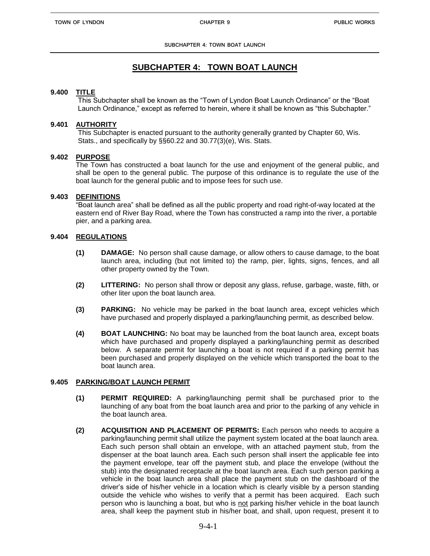# **SUBCHAPTER 4: TOWN BOAT LAUNCH**

### **9.400 TITLE**

This Subchapter shall be known as the "Town of Lyndon Boat Launch Ordinance" or the "Boat Launch Ordinance," except as referred to herein, where it shall be known as "this Subchapter."

# **9.401 AUTHORITY**

This Subchapter is enacted pursuant to the authority generally granted by Chapter 60, Wis. Stats., and specifically by §§60.22 and 30.77(3)(e), Wis. Stats.

# **9.402 PURPOSE**

The Town has constructed a boat launch for the use and enjoyment of the general public, and shall be open to the general public. The purpose of this ordinance is to regulate the use of the boat launch for the general public and to impose fees for such use.

# **9.403 DEFINITIONS**

"Boat launch area" shall be defined as all the public property and road right-of-way located at the eastern end of River Bay Road, where the Town has constructed a ramp into the river, a portable pier, and a parking area.

# **9.404 REGULATIONS**

- **(1) DAMAGE:** No person shall cause damage, or allow others to cause damage, to the boat launch area, including (but not limited to) the ramp, pier, lights, signs, fences, and all other property owned by the Town.
- **(2) LITTERING:** No person shall throw or deposit any glass, refuse, garbage, waste, filth, or other liter upon the boat launch area.
- **(3) PARKING:** No vehicle may be parked in the boat launch area, except vehicles which have purchased and properly displayed a parking/launching permit, as described below.
- **(4) BOAT LAUNCHING:** No boat may be launched from the boat launch area, except boats which have purchased and properly displayed a parking/launching permit as described below. A separate permit for launching a boat is not required if a parking permit has been purchased and properly displayed on the vehicle which transported the boat to the boat launch area.

# **9.405 PARKING/BOAT LAUNCH PERMIT**

- **(1) PERMIT REQUIRED:** A parking/launching permit shall be purchased prior to the launching of any boat from the boat launch area and prior to the parking of any vehicle in the boat launch area.
- **(2) ACQUISITION AND PLACEMENT OF PERMITS:** Each person who needs to acquire a parking/launching permit shall utilize the payment system located at the boat launch area. Each such person shall obtain an envelope, with an attached payment stub, from the dispenser at the boat launch area. Each such person shall insert the applicable fee into the payment envelope, tear off the payment stub, and place the envelope (without the stub) into the designated receptacle at the boat launch area. Each such person parking a vehicle in the boat launch area shall place the payment stub on the dashboard of the driver's side of his/her vehicle in a location which is clearly visible by a person standing outside the vehicle who wishes to verify that a permit has been acquired. Each such person who is launching a boat, but who is not parking his/her vehicle in the boat launch area, shall keep the payment stub in his/her boat, and shall, upon request, present it to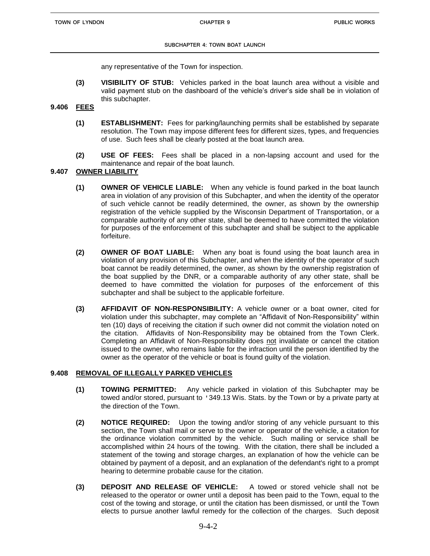any representative of the Town for inspection.

**(3) VISIBILITY OF STUB:** Vehicles parked in the boat launch area without a visible and valid payment stub on the dashboard of the vehicle's driver's side shall be in violation of this subchapter.

### **9.406 FEES**

- **(1) ESTABLISHMENT:** Fees for parking/launching permits shall be established by separate resolution. The Town may impose different fees for different sizes, types, and frequencies of use. Such fees shall be clearly posted at the boat launch area.
- **(2) USE OF FEES:** Fees shall be placed in a non-lapsing account and used for the maintenance and repair of the boat launch.

### **9.407 OWNER LIABILITY**

- **(1) OWNER OF VEHICLE LIABLE:** When any vehicle is found parked in the boat launch area in violation of any provision of this Subchapter, and when the identity of the operator of such vehicle cannot be readily determined, the owner, as shown by the ownership registration of the vehicle supplied by the Wisconsin Department of Transportation, or a comparable authority of any other state, shall be deemed to have committed the violation for purposes of the enforcement of this subchapter and shall be subject to the applicable forfeiture.
- **(2) OWNER OF BOAT LIABLE:** When any boat is found using the boat launch area in violation of any provision of this Subchapter, and when the identity of the operator of such boat cannot be readily determined, the owner, as shown by the ownership registration of the boat supplied by the DNR, or a comparable authority of any other state, shall be deemed to have committed the violation for purposes of the enforcement of this subchapter and shall be subject to the applicable forfeiture.
- **(3) AFFIDAVIT OF NON-RESPONSIBILITY:** A vehicle owner or a boat owner, cited for violation under this subchapter, may complete an "Affidavit of Non-Responsibility" within ten (10) days of receiving the citation if such owner did not commit the violation noted on the citation. Affidavits of Non-Responsibility may be obtained from the Town Clerk. Completing an Affidavit of Non-Responsibility does not invalidate or cancel the citation issued to the owner, who remains liable for the infraction until the person identified by the owner as the operator of the vehicle or boat is found guilty of the violation.

### **9.408 REMOVAL OF ILLEGALLY PARKED VEHICLES**

- **(1) TOWING PERMITTED:** Any vehicle parked in violation of this Subchapter may be towed and/or stored, pursuant to '349.13 Wis. Stats. by the Town or by a private party at the direction of the Town.
- **(2) NOTICE REQUIRED:** Upon the towing and/or storing of any vehicle pursuant to this section, the Town shall mail or serve to the owner or operator of the vehicle, a citation for the ordinance violation committed by the vehicle. Such mailing or service shall be accomplished within 24 hours of the towing. With the citation, there shall be included a statement of the towing and storage charges, an explanation of how the vehicle can be obtained by payment of a deposit, and an explanation of the defendant's right to a prompt hearing to determine probable cause for the citation.
- **(3) DEPOSIT AND RELEASE OF VEHICLE:** A towed or stored vehicle shall not be released to the operator or owner until a deposit has been paid to the Town, equal to the cost of the towing and storage, or until the citation has been dismissed, or until the Town elects to pursue another lawful remedy for the collection of the charges. Such deposit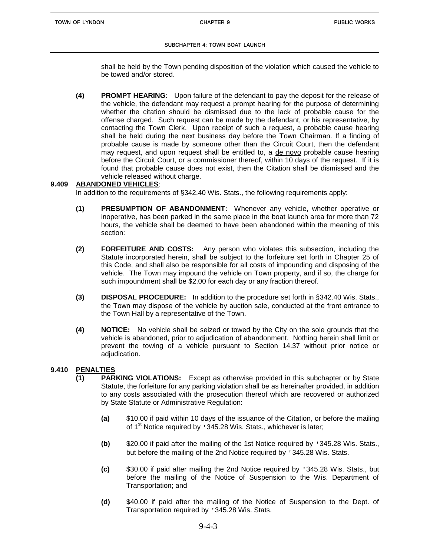shall be held by the Town pending disposition of the violation which caused the vehicle to be towed and/or stored.

**(4) PROMPT HEARING:** Upon failure of the defendant to pay the deposit for the release of the vehicle, the defendant may request a prompt hearing for the purpose of determining whether the citation should be dismissed due to the lack of probable cause for the offense charged. Such request can be made by the defendant, or his representative, by contacting the Town Clerk. Upon receipt of such a request, a probable cause hearing shall be held during the next business day before the Town Chairman. If a finding of probable cause is made by someone other than the Circuit Court, then the defendant may request, and upon request shall be entitled to, a de novo probable cause hearing before the Circuit Court, or a commissioner thereof, within 10 days of the request. If it is found that probable cause does not exist, then the Citation shall be dismissed and the vehicle released without charge.

### **9.409 ABANDONED VEHICLES**:

In addition to the requirements of §342.40 Wis. Stats., the following requirements apply:

- **(1) PRESUMPTION OF ABANDONMENT:** Whenever any vehicle, whether operative or inoperative, has been parked in the same place in the boat launch area for more than 72 hours, the vehicle shall be deemed to have been abandoned within the meaning of this section:
- **(2) FORFEITURE AND COSTS:** Any person who violates this subsection, including the Statute incorporated herein, shall be subject to the forfeiture set forth in Chapter 25 of this Code, and shall also be responsible for all costs of impounding and disposing of the vehicle. The Town may impound the vehicle on Town property, and if so, the charge for such impoundment shall be \$2.00 for each day or any fraction thereof.
- **(3) DISPOSAL PROCEDURE:** In addition to the procedure set forth in §342.40 Wis. Stats., the Town may dispose of the vehicle by auction sale, conducted at the front entrance to the Town Hall by a representative of the Town.
- **(4) NOTICE:** No vehicle shall be seized or towed by the City on the sole grounds that the vehicle is abandoned, prior to adjudication of abandonment. Nothing herein shall limit or prevent the towing of a vehicle pursuant to Section 14.37 without prior notice or adjudication.

### **9.410 PENALTIES**

- **(1) PARKING VIOLATIONS:** Except as otherwise provided in this subchapter or by State Statute, the forfeiture for any parking violation shall be as hereinafter provided, in addition to any costs associated with the prosecution thereof which are recovered or authorized by State Statute or Administrative Regulation:
	- **(a)** \$10.00 if paid within 10 days of the issuance of the Citation, or before the mailing of 1<sup>st</sup> Notice required by '345.28 Wis. Stats., whichever is later:
	- **(b)** \$20.00 if paid after the mailing of the 1st Notice required by '345.28 Wis. Stats., but before the mailing of the 2nd Notice required by '345.28 Wis. Stats.
	- **(c)** \$30.00 if paid after mailing the 2nd Notice required by '345.28 Wis. Stats., but before the mailing of the Notice of Suspension to the Wis. Department of Transportation; and
	- **(d)** \$40.00 if paid after the mailing of the Notice of Suspension to the Dept. of Transportation required by '345.28 Wis. Stats.